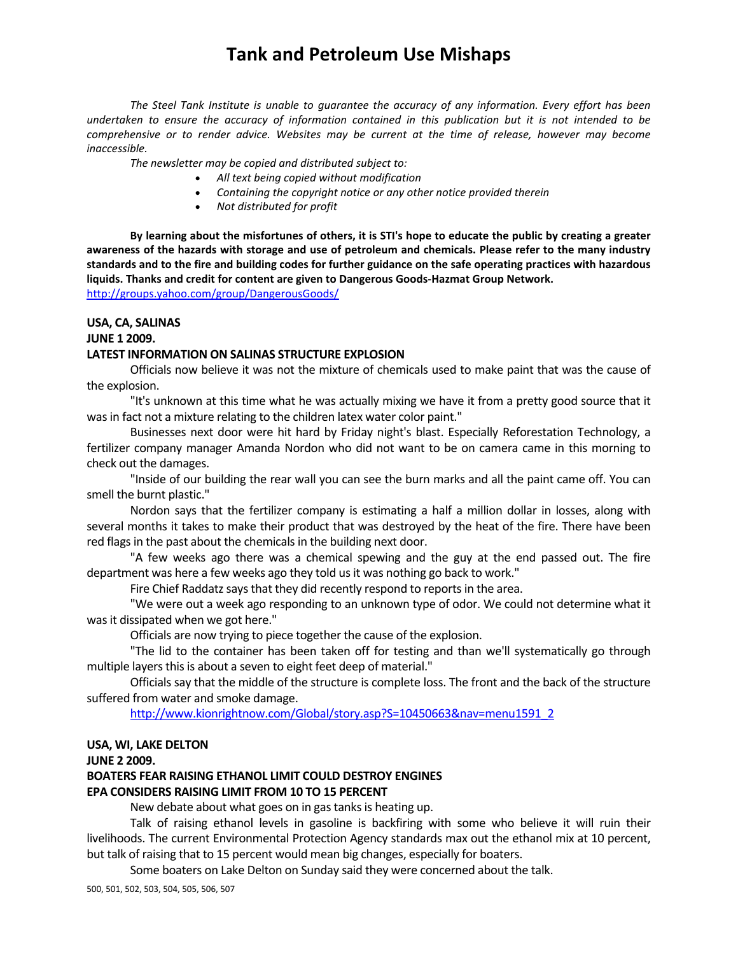*The Steel Tank Institute is unable to guarantee the accuracy of any information. Every effort has been* undertaken to ensure the accuracy of information contained in this publication but it is not intended to be *comprehensive or to render advice. Websites may be current at the time of release, however may become inaccessible.*

*The newsletter may be copied and distributed subject to:*

- *All text being copied without modification*
- *Containing the copyright notice or any other notice provided therein*
- *Not distributed for profit*

By learning about the misfortunes of others, it is STI's hope to educate the public by creating a greater awareness of the hazards with storage and use of petroleum and chemicals. Please refer to the many industry standards and to the fire and building codes for further guidance on the safe operating practices with hazardous **liquids. Thanks and credit for content are given to Dangerous Goods‐Hazmat Group Network.**  http://groups.yahoo.com/group/DangerousGoods/

**USA, CA, SALINAS**

#### **JUNE 1 2009.**

#### **LATEST INFORMATION ON SALINAS STRUCTURE EXPLOSION**

Officials now believe it was not the mixture of chemicals used to make paint that was the cause of the explosion.

"It's unknown at this time what he was actually mixing we have it from a pretty good source that it was in fact not a mixture relating to the children latex water color paint."

Businesses next door were hit hard by Friday night's blast. Especially Reforestation Technology, a fertilizer company manager Amanda Nordon who did not want to be on camera came in this morning to check out the damages.

"Inside of our building the rear wall you can see the burn marks and all the paint came off. You can smell the burnt plastic."

Nordon says that the fertilizer company is estimating a half a million dollar in losses, along with several months it takes to make their product that was destroyed by the heat of the fire. There have been red flags in the past about the chemicals in the building next door.

"A few weeks ago there was a chemical spewing and the guy at the end passed out. The fire department was here a few weeks ago they told usit was nothing go back to work."

Fire Chief Raddatz says that they did recently respond to reports in the area.

"We were out a week ago responding to an unknown type of odor. We could not determine what it was it dissipated when we got here."

Officials are now trying to piece together the cause of the explosion.

"The lid to the container has been taken off for testing and than we'll systematically go through multiple layers this is about a seven to eight feet deep of material."

Officials say that the middle of the structure is complete loss. The front and the back of the structure suffered from water and smoke damage.

http://www.kionrightnow.com/Global/story.asp?S=10450663&nav=menu1591\_2

#### **USA, WI, LAKE DELTON**

#### **JUNE 2 2009.**

### **BOATERS FEAR RAISING ETHANOL LIMIT COULD DESTROY ENGINES**

### **EPA CONSIDERS RAISING LIMIT FROM 10 TO 15 PERCENT**

New debate about what goes on in gas tanks is heating up.

Talk of raising ethanol levels in gasoline is backfiring with some who believe it will ruin their livelihoods. The current Environmental Protection Agency standards max out the ethanol mix at 10 percent, but talk of raising that to 15 percent would mean big changes, especially for boaters.

Some boaters on Lake Delton on Sunday said they were concerned about the talk.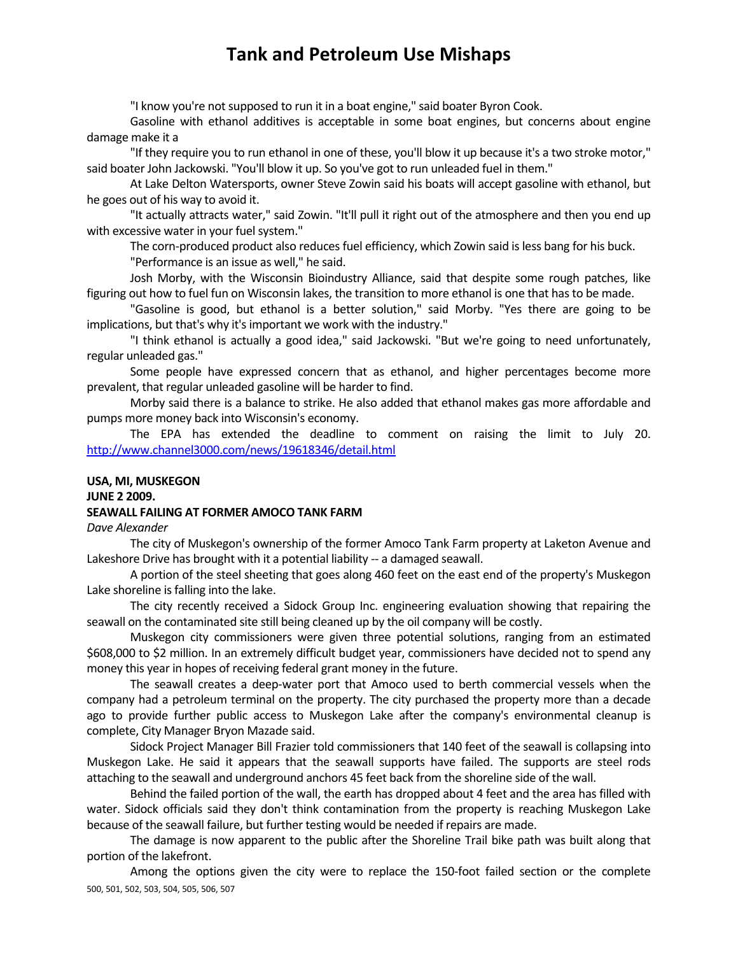"I know you're not supposed to run it in a boat engine," said boater Byron Cook.

Gasoline with ethanol additives is acceptable in some boat engines, but concerns about engine damage make it a

"If they require you to run ethanol in one of these, you'll blow it up because it's a two stroke motor," said boater John Jackowski. "You'll blow it up. So you've got to run unleaded fuel in them."

At Lake Delton Watersports, owner Steve Zowin said his boats will accept gasoline with ethanol, but he goes out of his way to avoid it.

"It actually attracts water," said Zowin. "It'll pull it right out of the atmosphere and then you end up with excessive water in your fuel system."

The corn-produced product also reduces fuel efficiency, which Zowin said is less bang for his buck.

"Performance is an issue as well," he said.

Josh Morby, with the Wisconsin Bioindustry Alliance, said that despite some rough patches, like figuring out how to fuel fun on Wisconsin lakes, the transition to more ethanol is one that has to be made.

"Gasoline is good, but ethanol is a better solution," said Morby. "Yes there are going to be implications, but that's why it's important we work with the industry."

"I think ethanol is actually a good idea," said Jackowski. "But we're going to need unfortunately, regular unleaded gas."

Some people have expressed concern that as ethanol, and higher percentages become more prevalent, that regular unleaded gasoline will be harder to find.

Morby said there is a balance to strike. He also added that ethanol makes gas more affordable and pumps more money back into Wisconsin's economy.

The EPA has extended the deadline to comment on raising the limit to July 20. http://www.channel3000.com/news/19618346/detail.html

#### **USA, MI, MUSKEGON JUNE 2 2009.**

### **SEAWALL FAILING AT FORMER AMOCO TANK FARM**

*Dave Alexander*

The city of Muskegon's ownership of the former Amoco Tank Farm property at Laketon Avenue and Lakeshore Drive has brought with it a potential liability -- a damaged seawall.

A portion of the steel sheeting that goes along 460 feet on the east end of the property's Muskegon Lake shoreline is falling into the lake.

The city recently received a Sidock Group Inc. engineering evaluation showing that repairing the seawall on the contaminated site still being cleaned up by the oil company will be costly.

Muskegon city commissioners were given three potential solutions, ranging from an estimated \$608,000 to \$2 million. In an extremely difficult budget year, commissioners have decided not to spend any money this year in hopes of receiving federal grant money in the future.

The seawall creates a deep-water port that Amoco used to berth commercial vessels when the company had a petroleum terminal on the property. The city purchased the property more than a decade ago to provide further public access to Muskegon Lake after the company's environmental cleanup is complete, City Manager Bryon Mazade said.

Sidock Project Manager Bill Frazier told commissioners that 140 feet of the seawall is collapsing into Muskegon Lake. He said it appears that the seawall supports have failed. The supports are steel rods attaching to the seawall and underground anchors 45 feet back from the shoreline side of the wall.

Behind the failed portion of the wall, the earth has dropped about 4 feet and the area has filled with water. Sidock officials said they don't think contamination from the property is reaching Muskegon Lake because of the seawall failure, but further testing would be needed if repairs are made.

The damage is now apparent to the public after the Shoreline Trail bike path was built along that portion of the lakefront.

500, 501, 502, 503, 504, 505, 506, 507 Among the options given the city were to replace the 150‐foot failed section or the complete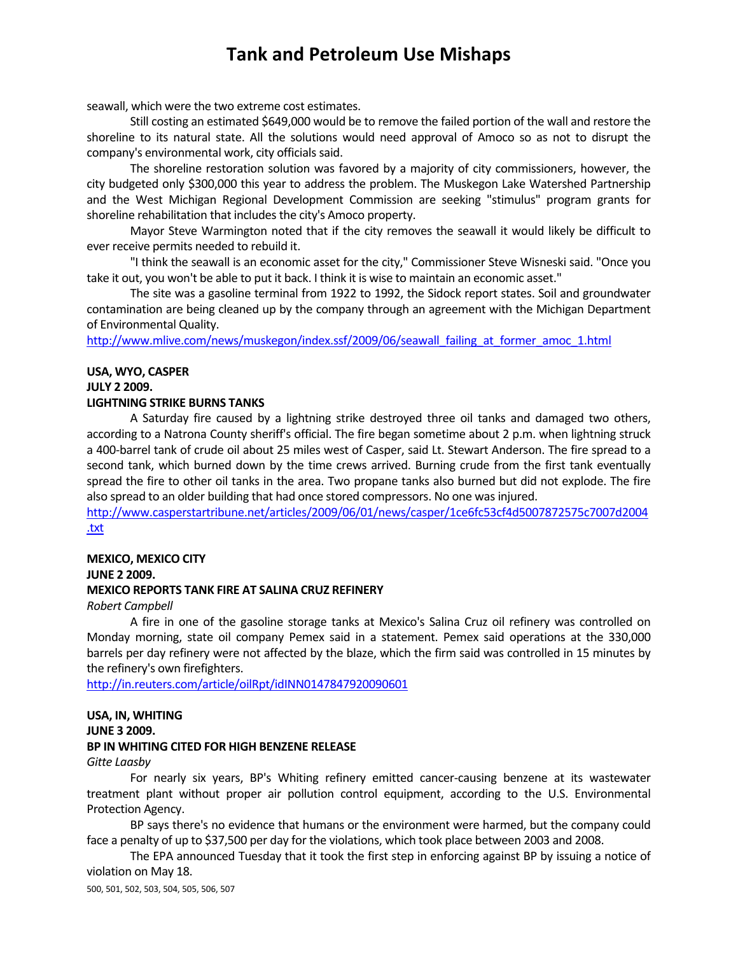seawall, which were the two extreme cost estimates.

Still costing an estimated \$649,000 would be to remove the failed portion of the wall and restore the shoreline to its natural state. All the solutions would need approval of Amoco so as not to disrupt the company's environmental work, city officials said.

The shoreline restoration solution was favored by a majority of city commissioners, however, the city budgeted only \$300,000 this year to address the problem. The Muskegon Lake Watershed Partnership and the West Michigan Regional Development Commission are seeking "stimulus" program grants for shoreline rehabilitation that includes the city's Amoco property.

Mayor Steve Warmington noted that if the city removes the seawall it would likely be difficult to ever receive permits needed to rebuild it.

"I think the seawall is an economic asset for the city," Commissioner Steve Wisneski said. "Once you take it out, you won't be able to put it back. I think it is wise to maintain an economic asset."

The site was a gasoline terminal from 1922 to 1992, the Sidock report states. Soil and groundwater contamination are being cleaned up by the company through an agreement with the Michigan Department of Environmental Quality.

http://www.mlive.com/news/muskegon/index.ssf/2009/06/seawall\_failing\_at\_former\_amoc\_1.html

### **USA, WYO, CASPER**

#### **JULY 2 2009.**

#### **LIGHTNING STRIKE BURNS TANKS**

A Saturday fire caused by a lightning strike destroyed three oil tanks and damaged two others, according to a Natrona County sheriff's official. The fire began sometime about 2 p.m. when lightning struck a 400‐barrel tank of crude oil about 25 miles west of Casper, said Lt. Stewart Anderson. The fire spread to a second tank, which burned down by the time crews arrived. Burning crude from the first tank eventually spread the fire to other oil tanks in the area. Two propane tanks also burned but did not explode. The fire also spread to an older building that had once stored compressors. No one wasinjured.

http://www.casperstartribune.net/articles/2009/06/01/news/casper/1ce6fc53cf4d5007872575c7007d2004 .txt

#### **MEXICO, MEXICO CITY JUNE 2 2009. MEXICO REPORTS TANK FIRE AT SALINA CRUZ REFINERY**

*Robert Campbell*

A fire in one of the gasoline storage tanks at Mexico's Salina Cruz oil refinery was controlled on Monday morning, state oil company Pemex said in a statement. Pemex said operations at the 330,000 barrels per day refinery were not affected by the blaze, which the firm said was controlled in 15 minutes by the refinery's own firefighters.

http://in.reuters.com/article/oilRpt/idINN0147847920090601

#### **USA, IN, WHITING JUNE 3 2009. BP IN WHITING CITED FOR HIGH BENZENE RELEASE**

#### *Gitte Laasby*

For nearly six years, BP's Whiting refinery emitted cancer-causing benzene at its wastewater treatment plant without proper air pollution control equipment, according to the U.S. Environmental Protection Agency.

BP says there's no evidence that humans or the environment were harmed, but the company could face a penalty of up to \$37,500 per day for the violations, which took place between 2003 and 2008.

The EPA announced Tuesday that it took the first step in enforcing against BP by issuing a notice of violation on May 18.

500, 501, 502, 503, 504, 505, 506, 507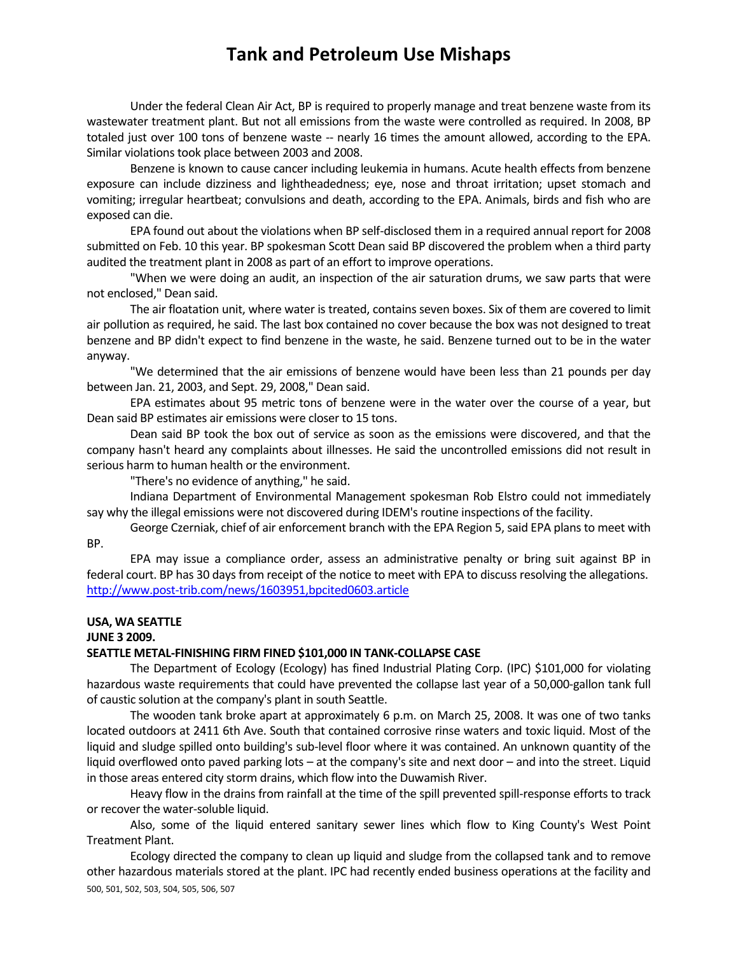Under the federal Clean Air Act, BP is required to properly manage and treat benzene waste from its wastewater treatment plant. But not all emissions from the waste were controlled as required. In 2008, BP totaled just over 100 tons of benzene waste ‐‐ nearly 16 times the amount allowed, according to the EPA. Similar violations took place between 2003 and 2008.

Benzene is known to cause cancer including leukemia in humans. Acute health effects from benzene exposure can include dizziness and lightheadedness; eye, nose and throat irritation; upset stomach and vomiting; irregular heartbeat; convulsions and death, according to the EPA. Animals, birds and fish who are exposed can die.

EPA found out about the violations when BP self‐disclosed them in a required annual report for 2008 submitted on Feb. 10 this year. BP spokesman Scott Dean said BP discovered the problem when a third party audited the treatment plant in 2008 as part of an effort to improve operations.

"When we were doing an audit, an inspection of the air saturation drums, we saw parts that were not enclosed," Dean said.

The air floatation unit, where water is treated, contains seven boxes. Six of them are covered to limit air pollution as required, he said. The last box contained no cover because the box was not designed to treat benzene and BP didn't expect to find benzene in the waste, he said. Benzene turned out to be in the water anyway.

"We determined that the air emissions of benzene would have been less than 21 pounds per day between Jan. 21, 2003, and Sept. 29, 2008," Dean said.

EPA estimates about 95 metric tons of benzene were in the water over the course of a year, but Dean said BP estimates air emissions were closer to 15 tons.

Dean said BP took the box out of service as soon as the emissions were discovered, and that the company hasn't heard any complaints about illnesses. He said the uncontrolled emissions did not result in serious harm to human health or the environment.

"There's no evidence of anything," he said.

Indiana Department of Environmental Management spokesman Rob Elstro could not immediately say why the illegal emissions were not discovered during IDEM's routine inspections of the facility.

George Czerniak, chief of air enforcement branch with the EPA Region 5, said EPA plans to meet with BP.

EPA may issue a compliance order, assess an administrative penalty or bring suit against BP in federal court. BP has 30 days from receipt of the notice to meet with EPA to discuss resolving the allegations. http://www.post‐trib.com/news/1603951,bpcited0603.article

### **USA, WA SEATTLE**

### **JUNE 3 2009.**

#### **SEATTLE METAL‐FINISHING FIRM FINED \$101,000 IN TANK‐COLLAPSE CASE**

The Department of Ecology (Ecology) has fined Industrial Plating Corp. (IPC) \$101,000 for violating hazardous waste requirements that could have prevented the collapse last year of a 50,000-gallon tank full of caustic solution at the company's plant in south Seattle.

The wooden tank broke apart at approximately 6 p.m. on March 25, 2008. It was one of two tanks located outdoors at 2411 6th Ave. South that contained corrosive rinse waters and toxic liquid. Most of the liquid and sludge spilled onto building's sub‐level floor where it was contained. An unknown quantity of the liquid overflowed onto paved parking lots – at the company's site and next door – and into the street. Liquid in those areas entered city storm drains, which flow into the Duwamish River.

Heavy flow in the drains from rainfall at the time of the spill prevented spill-response efforts to track or recover the water‐soluble liquid.

Also, some of the liquid entered sanitary sewer lines which flow to King County's West Point Treatment Plant.

500, 501, 502, 503, 504, 505, 506, 507 Ecology directed the company to clean up liquid and sludge from the collapsed tank and to remove other hazardous materials stored at the plant. IPC had recently ended business operations at the facility and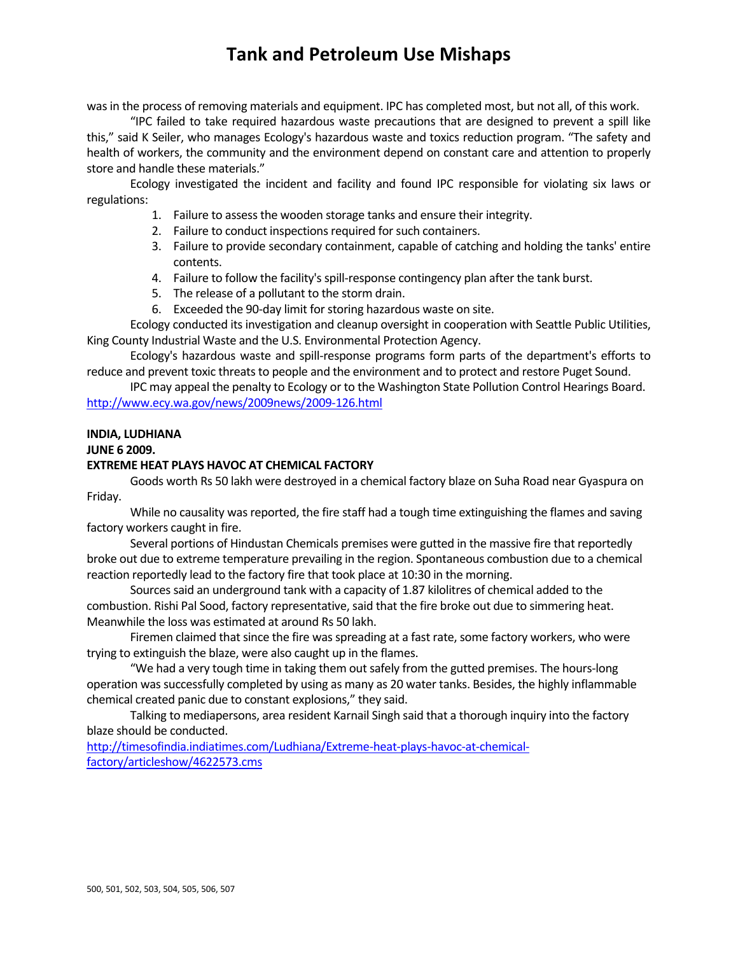was in the process of removing materials and equipment. IPC has completed most, but not all, of this work.

"IPC failed to take required hazardous waste precautions that are designed to prevent a spill like this," said K Seiler, who manages Ecology's hazardous waste and toxics reduction program. "The safety and health of workers, the community and the environment depend on constant care and attention to properly store and handle these materials."

Ecology investigated the incident and facility and found IPC responsible for violating six laws or regulations:

- 1. Failure to assessthe wooden storage tanks and ensure their integrity.
- 2. Failure to conduct inspections required for such containers.
- 3. Failure to provide secondary containment, capable of catching and holding the tanks' entire contents.
- 4. Failure to follow the facility's spill-response contingency plan after the tank burst.
- 5. The release of a pollutant to the storm drain.
- 6. Exceeded the 90‐day limit forstoring hazardous waste on site.

Ecology conducted its investigation and cleanup oversight in cooperation with Seattle Public Utilities, King County Industrial Waste and the U.S. Environmental Protection Agency.

Ecology's hazardous waste and spill‐response programs form parts of the department's efforts to reduce and prevent toxic threats to people and the environment and to protect and restore Puget Sound.

IPC may appeal the penalty to Ecology or to the Washington State Pollution Control Hearings Board. http://www.ecy.wa.gov/news/2009news/2009-126.html

#### **INDIA, LUDHIANA**

#### **JUNE 6 2009.**

#### **EXTREME HEAT PLAYS HAVOC AT CHEMICAL FACTORY**

Goods worth Rs 50 lakh were destroyed in a chemical factory blaze on Suha Road near Gyaspura on Friday.

While no causality was reported, the fire staff had a tough time extinguishing the flames and saving factory workers caught in fire.

Several portions of Hindustan Chemicals premises were gutted in the massive fire that reportedly broke out due to extreme temperature prevailing in the region. Spontaneous combustion due to a chemical reaction reportedly lead to the factory fire that took place at 10:30 in the morning.

Sources said an underground tank with a capacity of 1.87 kilolitres of chemical added to the combustion. Rishi Pal Sood, factory representative, said that the fire broke out due to simmering heat. Meanwhile the loss was estimated at around Rs 50 lakh.

Firemen claimed that since the fire was spreading at a fast rate, some factory workers, who were trying to extinguish the blaze, were also caught up in the flames.

"We had a very tough time in taking them out safely from the gutted premises. The hours-long operation wassuccessfully completed by using as many as 20 water tanks. Besides, the highly inflammable chemical created panic due to constant explosions," they said.

Talking to mediapersons, area resident Karnail Singh said that a thorough inquiry into the factory blaze should be conducted.

http://timesofindia.indiatimes.com/Ludhiana/Extreme-heat-plays-havoc-at-chemicalfactory/articleshow/4622573.cms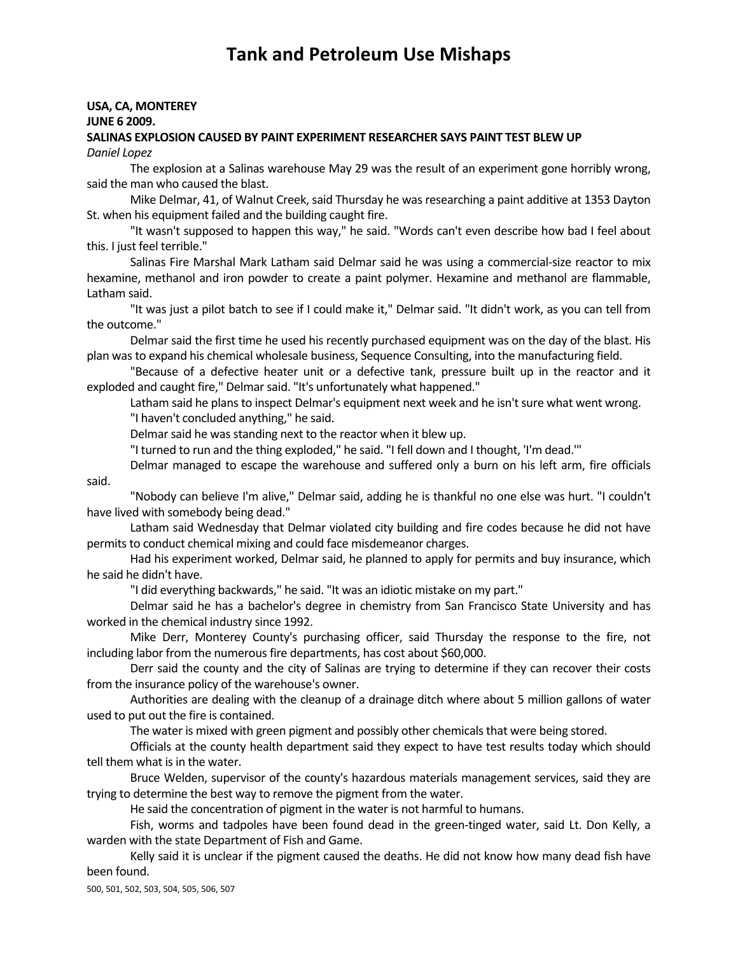#### **USA, CA, MONTEREY JUNE 6 2009. SALINAS EXPLOSION CAUSED BY PAINT EXPERIMENT RESEARCHER SAYS PAINT TEST BLEW UP**

*Daniel Lopez*

The explosion at a Salinas warehouse May 29 was the result of an experiment gone horribly wrong, said the man who caused the blast.

Mike Delmar, 41, of Walnut Creek, said Thursday he was researching a paint additive at 1353 Dayton St. when his equipment failed and the building caught fire.

"It wasn't supposed to happen this way," he said. "Words can't even describe how bad I feel about this. I just feel terrible."

Salinas Fire Marshal Mark Latham said Delmar said he was using a commercial‐size reactor to mix hexamine, methanol and iron powder to create a paint polymer. Hexamine and methanol are flammable, Latham said.

"It was just a pilot batch to see if I could make it," Delmar said. "It didn't work, as you can tell from the outcome."

Delmar said the first time he used his recently purchased equipment was on the day of the blast. His plan wasto expand his chemical wholesale business, Sequence Consulting, into the manufacturing field.

"Because of a defective heater unit or a defective tank, pressure built up in the reactor and it exploded and caught fire," Delmar said. "It's unfortunately what happened."

Latham said he plans to inspect Delmar's equipment next week and he isn't sure what went wrong. "I haven't concluded anything," he said.

Delmar said he was standing next to the reactor when it blew up.

"I turned to run and the thing exploded," he said. "I fell down and I thought, 'I'm dead.'"

Delmar managed to escape the warehouse and suffered only a burn on his left arm, fire officials said.

"Nobody can believe I'm alive," Delmar said, adding he is thankful no one else was hurt. "I couldn't have lived with somebody being dead."

Latham said Wednesday that Delmar violated city building and fire codes because he did not have permits to conduct chemical mixing and could face misdemeanor charges.

Had his experiment worked, Delmar said, he planned to apply for permits and buy insurance, which he said he didn't have.

"I did everything backwards," he said. "It was an idiotic mistake on my part."

Delmar said he has a bachelor's degree in chemistry from San Francisco State University and has worked in the chemical industry since 1992.

Mike Derr, Monterey County's purchasing officer, said Thursday the response to the fire, not including labor from the numerous fire departments, has cost about \$60,000.

Derr said the county and the city of Salinas are trying to determine if they can recover their costs from the insurance policy of the warehouse's owner.

Authorities are dealing with the cleanup of a drainage ditch where about 5 million gallons of water used to put out the fire is contained.

The water is mixed with green pigment and possibly other chemicals that were being stored.

Officials at the county health department said they expect to have test results today which should tell them what is in the water.

Bruce Welden, supervisor of the county's hazardous materials management services, said they are trying to determine the best way to remove the pigment from the water.

He said the concentration of pigment in the water is not harmful to humans.

Fish, worms and tadpoles have been found dead in the green-tinged water, said Lt. Don Kelly, a warden with the state Department of Fish and Game.

Kelly said it is unclear if the pigment caused the deaths. He did not know how many dead fish have been found.

500, 501, 502, 503, 504, 505, 506, 507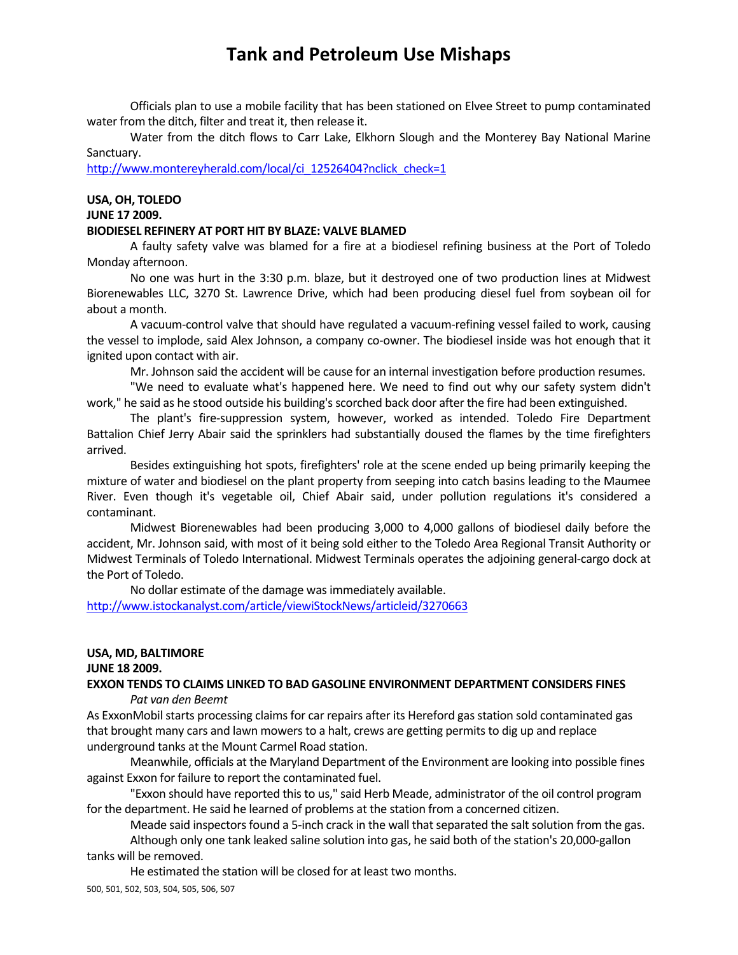Officials plan to use a mobile facility that has been stationed on Elvee Street to pump contaminated water from the ditch, filter and treat it, then release it.

Water from the ditch flows to Carr Lake, Elkhorn Slough and the Monterey Bay National Marine Sanctuary.

http://www.montereyherald.com/local/ci\_12526404?nclick\_check=1

# **USA, OH, TOLEDO**

### **JUNE 17 2009.**

#### **BIODIESEL REFINERY AT PORT HIT BY BLAZE: VALVE BLAMED**

A faulty safety valve was blamed for a fire at a biodiesel refining business at the Port of Toledo Monday afternoon.

No one was hurt in the 3:30 p.m. blaze, but it destroyed one of two production lines at Midwest Biorenewables LLC, 3270 St. Lawrence Drive, which had been producing diesel fuel from soybean oil for about a month.

A vacuum‐control valve that should have regulated a vacuum‐refining vessel failed to work, causing the vessel to implode, said Alex Johnson, a company co-owner. The biodiesel inside was hot enough that it ignited upon contact with air.

Mr. Johnson said the accident will be cause for an internal investigation before production resumes.

"We need to evaluate what's happened here. We need to find out why our safety system didn't work," he said as he stood outside his building's scorched back door after the fire had been extinguished.

The plant's fire‐suppression system, however, worked as intended. Toledo Fire Department Battalion Chief Jerry Abair said the sprinklers had substantially doused the flames by the time firefighters arrived.

Besides extinguishing hot spots, firefighters' role at the scene ended up being primarily keeping the mixture of water and biodiesel on the plant property from seeping into catch basins leading to the Maumee River. Even though it's vegetable oil, Chief Abair said, under pollution regulations it's considered a contaminant.

Midwest Biorenewables had been producing 3,000 to 4,000 gallons of biodiesel daily before the accident, Mr. Johnson said, with most of it being sold either to the Toledo Area Regional Transit Authority or Midwest Terminals of Toledo International. Midwest Terminals operates the adjoining general‐cargo dock at the Port of Toledo.

No dollar estimate of the damage was immediately available. http://www.istockanalyst.com/article/viewiStockNews/articleid/3270663

#### **USA, MD, BALTIMORE**

#### **JUNE 18 2009.**

**EXXON TENDS TO CLAIMS LINKED TO BAD GASOLINE ENVIRONMENT DEPARTMENT CONSIDERS FINES** *Pat van den Beemt*

As ExxonMobil starts processing claims for car repairs after its Hereford gas station sold contaminated gas that brought many cars and lawn mowers to a halt, crews are getting permits to dig up and replace underground tanks at the Mount Carmel Road station.

Meanwhile, officials at the Maryland Department of the Environment are looking into possible fines against Exxon for failure to report the contaminated fuel.

"Exxon should have reported this to us," said Herb Meade, administrator of the oil control program for the department. He said he learned of problems at the station from a concerned citizen.

Meade said inspectors found a 5-inch crack in the wall that separated the salt solution from the gas.

Although only one tank leaked saline solution into gas, he said both of the station's 20,000‐gallon tanks will be removed.

He estimated the station will be closed for at least two months.

500, 501, 502, 503, 504, 505, 506, 507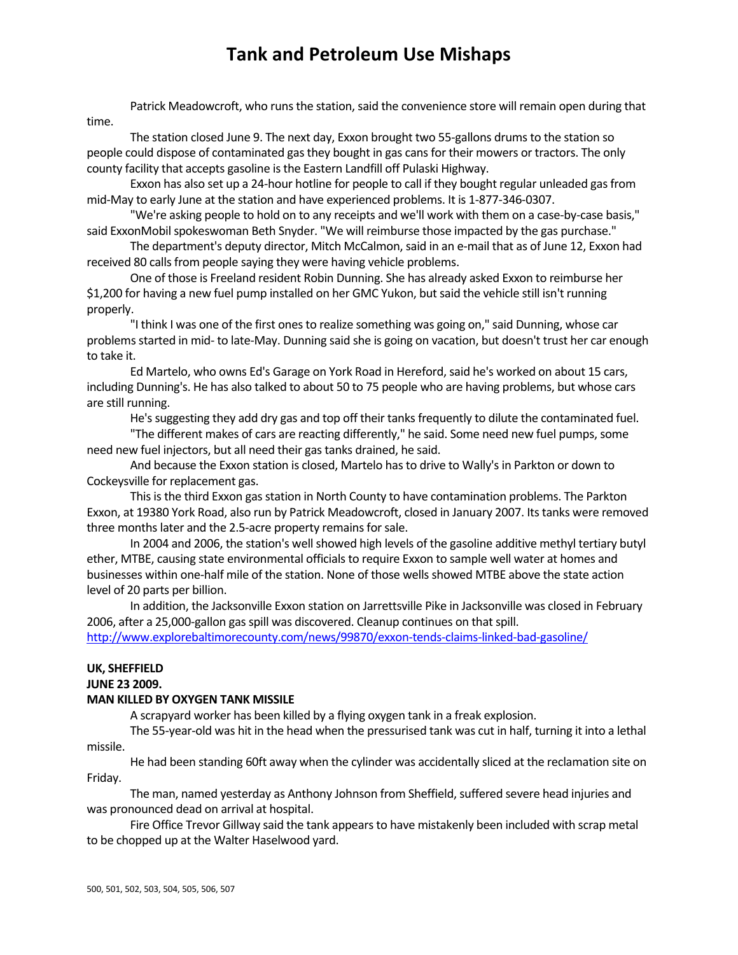Patrick Meadowcroft, who runs the station, said the convenience store will remain open during that time.

The station closed June 9. The next day, Exxon brought two 55-gallons drums to the station so people could dispose of contaminated gas they bought in gas cans for their mowers or tractors. The only county facility that accepts gasoline isthe Eastern Landfill off Pulaski Highway.

Exxon has also set up a 24‐hour hotline for people to call if they bought regular unleaded gasfrom mid‐May to early June at the station and have experienced problems. It is 1‐877‐346‐0307.

"We're asking people to hold on to any receipts and we'll work with them on a case‐by‐case basis," said ExxonMobil spokeswoman Beth Snyder. "We will reimburse those impacted by the gas purchase."

The department's deputy director, Mitch McCalmon,said in an e‐mail that as of June 12, Exxon had received 80 calls from people saying they were having vehicle problems.

One of those is Freeland resident Robin Dunning. She has already asked Exxon to reimburse her \$1,200 for having a new fuel pump installed on her GMC Yukon, butsaid the vehicle still isn't running properly.

"I think I was one of the first ones to realize something was going on," said Dunning, whose car problems started in mid- to late-May. Dunning said she is going on vacation, but doesn't trust her car enough to take it.

Ed Martelo, who owns Ed's Garage on York Road in Hereford,said he's worked on about 15 cars, including Dunning's. He has also talked to about 50 to 75 people who are having problems, but whose cars are still running.

He's suggesting they add dry gas and top off their tanks frequently to dilute the contaminated fuel.

"The different makes of cars are reacting differently," he said. Some need new fuel pumps, some need new fuel injectors, but all need their gas tanks drained, he said.

And because the Exxon station is closed, Martelo has to drive to Wally's in Parkton or down to Cockeysville for replacement gas.

This is the third Exxon gas station in North County to have contamination problems. The Parkton Exxon, at 19380 York Road, also run by Patrick Meadowcroft, closed in January 2007. Its tanks were removed three months later and the 2.5-acre property remains for sale.

In 2004 and 2006, the station's well showed high levels of the gasoline additive methyl tertiary butyl ether, MTBE, causing state environmental officials to require Exxon to sample well water at homes and businesses within one-half mile of the station. None of those wells showed MTBE above the state action level of 20 parts per billion.

In addition, the Jacksonville Exxon station on Jarrettsville Pike in Jacksonville was closed in February 2006, after a 25,000-gallon gas spill was discovered. Cleanup continues on that spill. http://www.explorebaltimorecounty.com/news/99870/exxon‐tends‐claims‐linked‐bad‐gasoline/

### **UK, SHEFFIELD**

#### **JUNE 23 2009.**

### **MAN KILLED BY OXYGEN TANK MISSILE**

A scrapyard worker has been killed by a flying oxygen tank in a freak explosion.

The 55-year-old was hit in the head when the pressurised tank was cut in half, turning it into a lethal missile.

He had been standing 60ft away when the cylinder was accidentally sliced at the reclamation site on Friday.

The man, named yesterday as Anthony Johnson from Sheffield, suffered severe head injuries and was pronounced dead on arrival at hospital.

Fire Office Trevor Gillway said the tank appears to have mistakenly been included with scrap metal to be chopped up at the Walter Haselwood yard.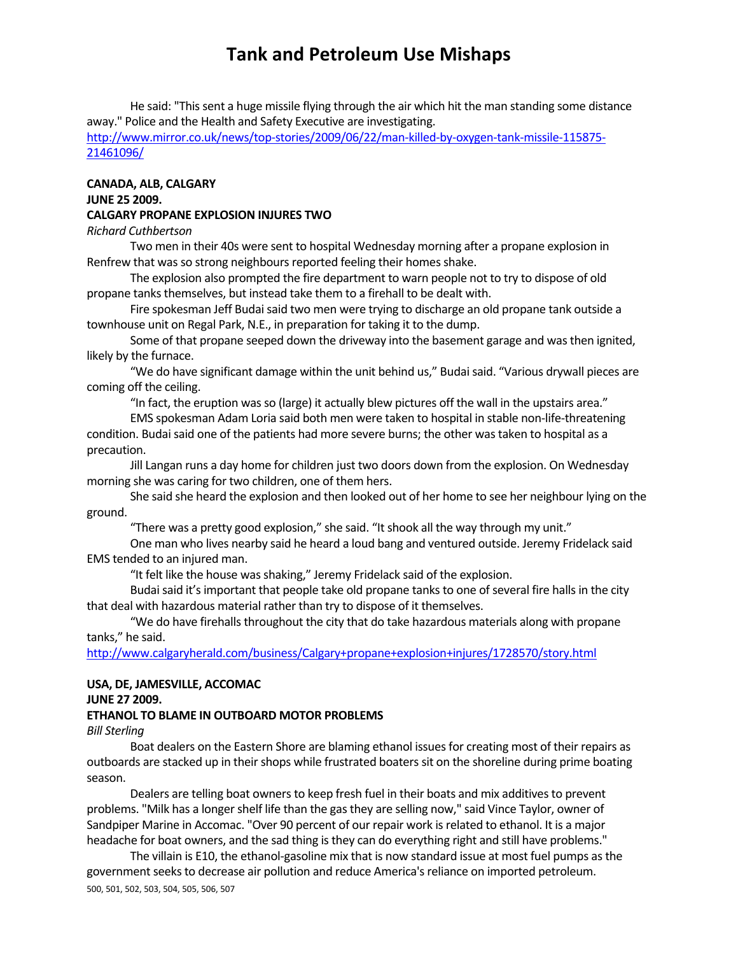He said: "Thissent a huge missile flying through the air which hit the man standing some distance away." Police and the Health and Safety Executive are investigating.

http://www.mirror.co.uk/news/top‐stories/2009/06/22/man‐killed‐by‐oxygen‐tank‐missile‐115875‐ 21461096/

### **CANADA, ALB, CALGARY JUNE 25 2009. CALGARY PROPANE EXPLOSION INJURES TWO**

### *Richard Cuthbertson*

Two men in their 40s were sent to hospital Wednesday morning after a propane explosion in Renfrew that was so strong neighbours reported feeling their homes shake.

The explosion also prompted the fire department to warn people not to try to dispose of old propane tanks themselves, but instead take them to a firehall to be dealt with.

Fire spokesman Jeff Budai said two men were trying to discharge an old propane tank outside a townhouse unit on Regal Park, N.E., in preparation for taking it to the dump.

Some of that propane seeped down the driveway into the basement garage and was then ignited, likely by the furnace.

"We do have significant damage within the unit behind us," Budaisaid. "Various drywall pieces are coming off the ceiling.

"In fact, the eruption was so (large) it actually blew pictures off the wall in the upstairs area."

EMS spokesman Adam Loria said both men were taken to hospital in stable non‐life‐threatening condition. Budai said one of the patients had more severe burns; the other was taken to hospital as a precaution.

Jill Langan runs a day home for children just two doors down from the explosion. On Wednesday morning she was caring for two children, one of them hers.

She said she heard the explosion and then looked out of her home to see her neighbour lying on the ground.

"There was a pretty good explosion," she said. "It shook all the way through my unit."

One man who lives nearby said he heard a loud bang and ventured outside. Jeremy Fridelack said EMS tended to an injured man.

"It felt like the house was shaking," Jeremy Fridelack said of the explosion.

Budai said it's important that people take old propane tanks to one of several fire halls in the city that deal with hazardous material rather than try to dispose of it themselves.

"We do have firehalls throughout the city that do take hazardous materials along with propane tanks," he said.

http://www.calgaryherald.com/business/Calgary+propane+explosion+injures/1728570/story.html

### **USA, DE, JAMESVILLE, ACCOMAC**

#### **JUNE 27 2009.**

#### **ETHANOL TO BLAME IN OUTBOARD MOTOR PROBLEMS**

*Bill Sterling*

Boat dealers on the Eastern Shore are blaming ethanol issues for creating most of their repairs as outboards are stacked up in their shops while frustrated boaters sit on the shoreline during prime boating season.

Dealers are telling boat owners to keep fresh fuel in their boats and mix additives to prevent problems. "Milk has a longer shelf life than the gas they are selling now," said Vince Taylor, owner of Sandpiper Marine in Accomac. "Over 90 percent of our repair work isrelated to ethanol. It is a major headache for boat owners, and the sad thing is they can do everything right and still have problems."

500, 501, 502, 503, 504, 505, 506, 507 The villain is E10, the ethanol-gasoline mix that is now standard issue at most fuel pumps as the government seeks to decrease air pollution and reduce America's reliance on imported petroleum.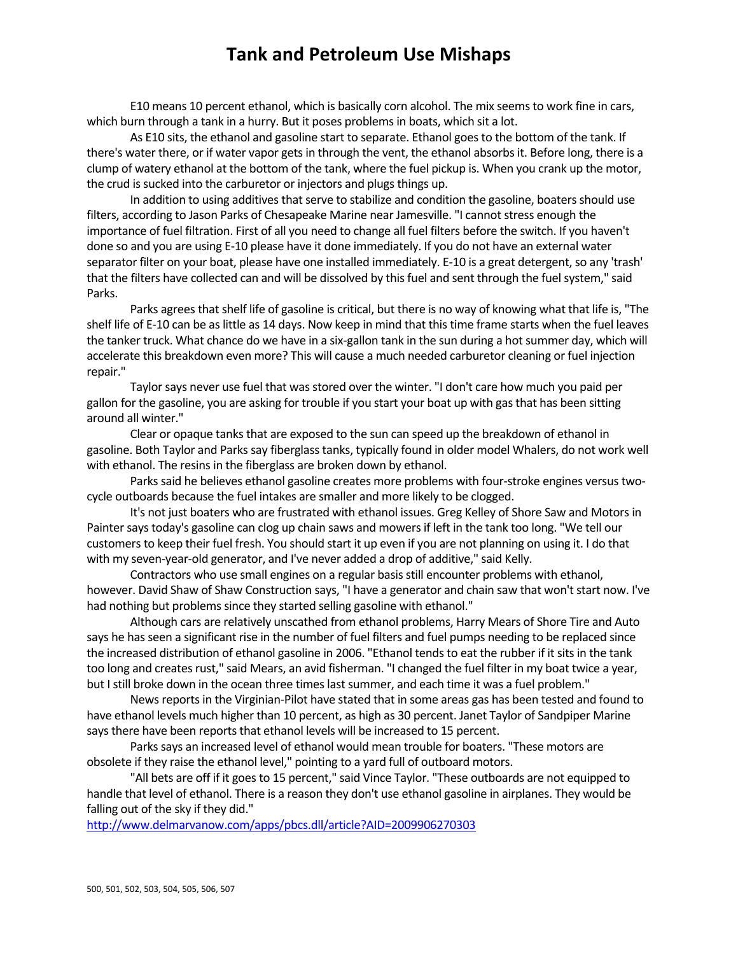E10 means 10 percent ethanol, which is basically corn alcohol. The mix seems to work fine in cars, which burn through a tank in a hurry. But it poses problems in boats, which sit a lot.

As E10 sits, the ethanol and gasoline start to separate. Ethanol goes to the bottom of the tank. If there's water there, or if water vapor gets in through the vent, the ethanol absorbs it. Before long, there is a clump of watery ethanol at the bottom of the tank, where the fuel pickup is. When you crank up the motor, the crud is sucked into the carburetor or injectors and plugs things up.

In addition to using additives that serve to stabilize and condition the gasoline, boaters should use filters, according to Jason Parks of Chesapeake Marine near Jamesville. "I cannot stress enough the importance of fuel filtration. First of all you need to change all fuel filters before the switch. If you haven't done so and you are using E‐10 please have it done immediately. If you do not have an external water separator filter on your boat, please have one installed immediately. E-10 is a great detergent, so any 'trash' that the filters have collected can and will be dissolved by this fuel and sent through the fuel system," said Parks.

Parks agrees that shelf life of gasoline is critical, but there is no way of knowing what that life is, "The shelf life of E-10 can be as little as 14 days. Now keep in mind that this time frame starts when the fuel leaves the tanker truck. What chance do we have in a six-gallon tank in the sun during a hot summer day, which will accelerate this breakdown even more? This will cause a much needed carburetor cleaning or fuel injection repair."

Taylor says never use fuel that was stored over the winter. "I don't care how much you paid per gallon for the gasoline, you are asking for trouble if you start your boat up with gas that has been sitting around all winter."

Clear or opaque tanks that are exposed to the sun can speed up the breakdown of ethanol in gasoline. Both Taylor and Parks say fiberglass tanks, typically found in older model Whalers, do not work well with ethanol. The resins in the fiberglass are broken down by ethanol.

Parks said he believes ethanol gasoline creates more problems with four-stroke engines versus twocycle outboards because the fuel intakes are smaller and more likely to be clogged.

It's not just boaters who are frustrated with ethanol issues. Greg Kelley of Shore Saw and Motorsin Painter says today's gasoline can clog up chain saws and mowers if left in the tank too long. "We tell our customersto keep their fuel fresh. You should start it up even if you are not planning on using it. I do that with my seven‐year‐old generator, and I've never added a drop of additive," said Kelly.

Contractors who use small engines on a regular basisstill encounter problems with ethanol, however. David Shaw of Shaw Construction says, "I have a generator and chain saw that won't start now. I've had nothing but problems since they started selling gasoline with ethanol."

Although cars are relatively unscathed from ethanol problems, Harry Mears of Shore Tire and Auto says he has seen a significant rise in the number of fuel filters and fuel pumps needing to be replaced since the increased distribution of ethanol gasoline in 2006. "Ethanol tends to eat the rubber if it sits in the tank too long and creates rust," said Mears, an avid fisherman. "I changed the fuel filter in my boat twice a year, but I still broke down in the ocean three times last summer, and each time it was a fuel problem."

News reports in the Virginian-Pilot have stated that in some areas gas has been tested and found to have ethanol levels much higher than 10 percent, as high as 30 percent. Janet Taylor of Sandpiper Marine says there have been reports that ethanol levels will be increased to 15 percent.

Parks says an increased level of ethanol would mean trouble for boaters. "These motors are obsolete if they raise the ethanol level," pointing to a yard full of outboard motors.

"All bets are off if it goes to 15 percent," said Vince Taylor. "These outboards are not equipped to handle that level of ethanol. There is a reason they don't use ethanol gasoline in airplanes. They would be falling out of the sky if they did."

http://www.delmarvanow.com/apps/pbcs.dll/article?AID=2009906270303